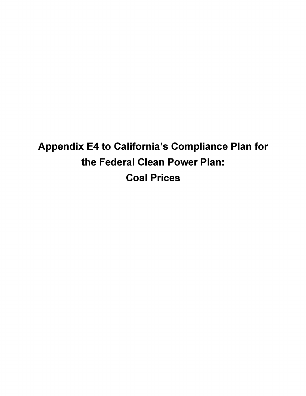**Appendix E4 to California's Compliance Plan for the Federal Clean Power Plan: Coal Prices**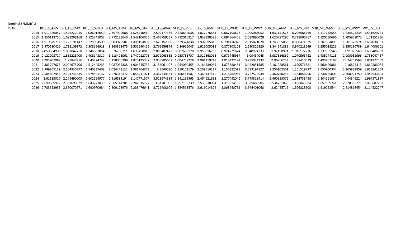| Nominal \$/MMBTU |
|------------------|
| <b>YEAR</b>      |

| YEAR |                  |            |                                          |  |  |                                                                                                                              |             |                                                                                                                                                      |                           | BIT LS ANM BIT LS RMO BIT LS WMO BIT MS ANM LIG MS DAK SUB LS AWA SUB LS PRB SUB LS RMO SUB LS WWO SUB LS WWY SUB MS ANM SUB MS PRB SUB MS WMO SUB MS WWY WC LS USA |                         |
|------|------------------|------------|------------------------------------------|--|--|------------------------------------------------------------------------------------------------------------------------------|-------------|------------------------------------------------------------------------------------------------------------------------------------------------------|---------------------------|---------------------------------------------------------------------------------------------------------------------------------------------------------------------|-------------------------|
|      |                  |            |                                          |  |  | 2014 1.917486047 1.526227055 1.086012659 2.697992688 1.528740464 2.502177335 0.720632038 1.827976684 0.667193626 1.999085052 |             | 1.631141576 0.706986459                                                                                                                              |                           | 1.117758558                                                                                                                                                         | 1.734624234 1.531629781 |
|      |                  |            |                                          |  |  |                                                                                                                              |             | 2015 1.856113755 1.623268168 1.125241002 2.772128646 1.548106053 2.463759567 0.732015317 1.852138391 0.694864408 2.089890028 1.620797295 0.718666717 |                           | 1.120330696                                                                                                                                                         |                         |
|      |                  |            |                                          |  |  | 2016 1.919679714 1.722191147 1.225054509 3.003972581 1.490194494 2.620152096 0.79374838 1.902295816 0.794116975 2.315821074  |             | 1.743655869   0.860474325                                                                                                                            |                           | 1.207604893                                                                                                                                                         | 1.801673574 1.614038501 |
|      |                  |            |                                          |  |  | 2017 1.970510426 1.782109972 1.308166918 3.260312475 1.501590426 2.762656879 0.84966045 1.921005082 0.877908103 2.590825326  |             |                                                                                                                                                      | 1.844641885   0.940213649 | 1.255013226                                                                                                                                                         |                         |
|      |                  |            | 2018 2.050684909 1.807842758 1.346693054 |  |  | 3.26230711 1.638798818 2.866487472 0.902660128 1.953016753 0.924221624 2.840974333                                           |             |                                                                                                                                                      |                           | 1.337385546                                                                                                                                                         |                         |
|      |                  |            |                                          |  |  | 2019 2.122003727 1.862228709 1.408142317 3.213426061 1.747012776 2.972063585 0.950766707 2.012368016 0.971745987             | 3.09437045  |                                                                                                                                                      | 1.987616869 1.070563732   | 1.435274115                                                                                                                                                         | 2.000932996 1.736047487 |
|      | 2020 2.205907087 | 1.93845216 |                                          |  |  | 1.46224742 3.158056309 1.820125337 3.058905607 1.004739228 2.091119747 1.018432194                                           | 3.235024233 |                                                                                                                                                      | 2.06956224 1.129416039    | 1.493407187                                                                                                                                                         | 2.074261568 1.801972352 |
|      |                  |            |                                          |  |  | 2021 2.303797623 2.022675706 1.512445235 3.087034338 1.904845738 3.156061107 1.054080355 2.184539035 1.073380451 3.442851585 |             |                                                                                                                                                      | 2.161088561 1.190576381   | 1.560496881                                                                                                                                                         | 2.16824413 1.860883084  |
|      |                  |            |                                          |  |  | 2022 2.399865139 2.104836277 1.546337468 3.024441122 1.983764373 3.2566626 1.119151179 2.269516217 1.150322098 3.583197827   |             |                                                                                                                                                      | 2.256102361 1.261519737   | 1.650960364                                                                                                                                                         | 2.265822859 1.912241209 |
|      |                  |            |                                          |  |  | 2023 2.504407456 2.194733539 1.574591137 2.976318372 2.055711921 3.367349351 1.186441507 2.369147519 1.216482954 3.727578934 |             | 2.360760255 1.334856296                                                                                                                              |                           | 1.730265803                                                                                                                                                         | 2.360091759 1.944943624 |
|      |                  |            |                                          |  |  | 2024 2.61115027 2.275490003 1.602559977 2.916583194 2.147771577 3.518674399 1.241133365 2.464621898 1.277492046 3.749318414  |             | 2.460813075 1.394738458                                                                                                                              |                           | 1.804161034                                                                                                                                                         | 2.44345224 1.997371897  |
|      |                  |            |                                          |  |  | 2025 2.690689912 2.301690329 1.643271039 2.865144781 2.242015774 3.61781902 1.297152739 2.536538064 1.318914152 3.829488505  |             |                                                                                                                                                      | 2.534731869 1.456043584   | 1.857539761                                                                                                                                                         | 2.528365771 2.060687733 |
|      |                  |            |                                          |  |  |                                                                                                                              |             | 2026 2.783553933 2.350070571 1.690970984 2.809173976 2.338476641 3.726408604 1.354518576 2.616014822 1.368240791 3.944401068 2.62425716 1.526828503  |                           | 1.919252544                                                                                                                                                         | 2.614863454 2.114522247 |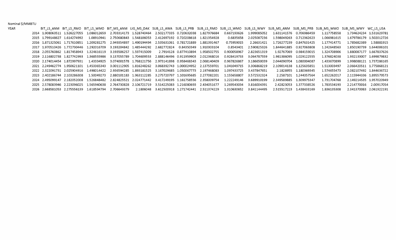## Nominal \$/MMBTU

| YEAR |  |                              |                                                                                                      |  |  |                                                                                                                              |                         |                           | BIT LS ANM BIT LS RMO BIT LS WMO BIT MS ANM LIG MS DAK SUB LS AWA SUB LS PRB SUB LS RMO SUB LS WMO SUB LS WWY SUB MS ANM SUB MS PRB SUB MS WMO SUB MS WWY WC LS USA |                         |
|------|--|------------------------------|------------------------------------------------------------------------------------------------------|--|--|------------------------------------------------------------------------------------------------------------------------------|-------------------------|---------------------------|---------------------------------------------------------------------------------------------------------------------------------------------------------------------|-------------------------|
|      |  |                              |                                                                                                      |  |  | 2014 1.908063511 1.526227055 1.086012659 2.703314173 1.528740464 2.502177335 0.720632038 1.827976684 0.667193626 1.999085052 |                         | 1.631141576 0.706986459   | 1.117758558                                                                                                                                                         | 1.734624234 1.531629781 |
|      |  | 2015 1.799148627 1.614274992 | 1.08910941  2.750680843  1.548106053  2.412697192  0.720208618  1.821354928                          |  |  |                                                                                                                              | 0.6835658 2.025087236   | 1.598049263   0.712362623 | 1.066981615                                                                                                                                                         | 1.679786179 1.502012726 |
|      |  |                              | 2016 1.871325061 1.717610851 1.209281275 2.949354897 1.490194494 2.535631061 0.781721889 1.881391467 |  |  | 0.75959015                                                                                                                   | 2.26631421              | 1.726277239   0.847631425 | 1.177414771                                                                                                                                                         |                         |
|      |  |                              | 2017 1.970510426 1.772730446 1.292016709 3.193204842 1.485444292 2.682772824 0.84350349 1.910303104  |  |  |                                                                                                                              | 0.8543401 2.590825326   | 1.844641885   0.927063808 | 1.242648563                                                                                                                                                         | 1.850190739 1.644006101 |
|      |  |                              | 2018 2.055760862 1.817458943 1.324616119 3.193506257 1.597415009 2.7914128 0.877410894 1.958502755   |  |  |                                                                                                                              | 0.900058967 2.823651319 | 1.92767069   0.984159015  | 1.324708906                                                                                                                                                         | 1.880087177 1.667837626 |
|      |  |                              | 2019 2.116802738 1.827742993 1.368555986 3.137055789 1.704609553 2.888146496 0.911959903 2.012368016 |  |  |                                                                                                                              | 0.928419733 3.064787559 |                           | 1.376824038                                                                                                                                                         | 1.932133007 1.699879832 |
|      |  | 2020 2.174014454 1.872997931 |                                                                                                      |  |  | 1.43334925 3.074001578 1.768121756 2.973141898 0.958468343 2.068140409 0.967826867                                           | 3.186650039             | 2.044090704 1.080004087   | 1.433670899                                                                                                                                                         | 1.998088121 1.737286165 |
|      |  |                              |                                                                                                      |  |  | 2021 2.249462774 1.950621101 1.453365343 3.001112905 1.816248262 3.068392743 1.000024952 2.137559701 1.041049715 3.306868219 |                         |                           | 1.513003497                                                                                                                                                         | 2.066420511 1.775868121 |
|      |  |                              |                                                                                                      |  |  | 2022 2.322091731 2.025904916 1.498014422 2.936594285 1.893181525 3.167029685 1.050067773 2.197468083 1.097433725 3.437847651 |                         | 2.1828955 1.180369345     | 1.574655473                                                                                                                                                         | 2.082107492 1.844636722 |
|      |  | 2023 2.402186744 2.103286308 |                                                                                                      |  |  | 1.50049273  2.880101183  1.963112285  3.275720797  1.101695685  2.277082201  1.155658807  3.572532324                        |                         | 2.2587101 1.244357564     | 1.652262017                                                                                                                                                         | 2.115944336 1.895579573 |
|      |  |                              |                                                                                                      |  |  | 2024 2.495099147 2.182052008 1.526848482 2.824825521 2.024771442 3.417249195 1.161758556 2.358009754 1.222249146 3.689910199 |                         | 2.349589885 1.309975347   | 1.731704768                                                                                                                                                         | 2.149214535 1.957020949 |
|      |  |                              |                                                                                                      |  |  | 2025 2.578083946 2.223096025 1.565940638 2.764730828 2.106721719 3.514225083 1.216080693 2.434051677 1.269543034             | 3.816004391             | 2.42823053 1.377338526    | 1.783534193                                                                                                                                                         | 2.214770016 2.00917054  |
|      |  |                              | 2026  2.668581053  2.275556139  1.618594794  2.706649379                                             |  |  | 2.1806048  3.612500918 1.271742441  2.511374229  1.310630652  3.841144495                                                    |                         | 2.515517223 1.438433169   | 1.836135308                                                                                                                                                         | 2.341370083 2.061922191 |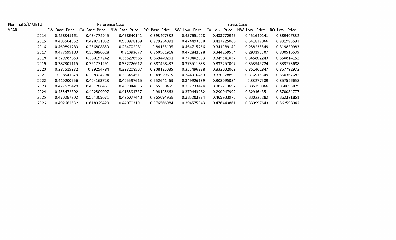| Nominal \$/MMBTU |               |               | Reference Case |               | <b>Stress Case</b> |               |               |               |  |  |  |
|------------------|---------------|---------------|----------------|---------------|--------------------|---------------|---------------|---------------|--|--|--|
| <b>YEAR</b>      | SW Base Price | CA Base Price | NW Base Price  | RO Base Price | SW Low Price       | CA_Low _Price | NW_Low _Price | RO_Low _Price |  |  |  |
| 2014             | 0.458341161   | 0.434772945   | 0.458640141    | 0.893407332   | 0.457651028        | 0.433772945   | 0.451640141   | 0.889407332   |  |  |  |
| 2015             | 0.483564652   | 0.428731832   | 0.530998169    | 0.979254891   | 0.474493558        | 0.417725008   | 0.541837866   | 0.981993593   |  |  |  |
| 2016             | 0.469891783   | 0.356808853   | 0.284702281    | 0.84135135    | 0.464715766        | 0.341389149   | 0.258235549   | 0.819830983   |  |  |  |
| 2017             | 0.477695183   | 0.360890028   | 0.31093677     | 0.860501918   | 0.472842098        | 0.344269554   | 0.293193307   | 0.830516539   |  |  |  |
| 2018             | 0.379783853   | 0.380157242   | 0.365276586    | 0.869440261   | 0.370402333        | 0.345541057   | 0.345802243   | 0.850814152   |  |  |  |
| 2019             | 0.387301115   | 0.391771291   | 0.382726612    | 0.887498432   | 0.373511833        | 0.332257007   | 0.353945724   | 0.833773688   |  |  |  |
| 2020             | 0.387515932   | 0.39254784    | 0.393208507    | 0.908125035   | 0.357496338        | 0.332002069   | 0.351461847   | 0.857792972   |  |  |  |
| 2021             | 0.38541879    | 0.398324294   | 0.393454511    | 0.949929619   | 0.344310469        | 0.320378899   | 0.316915349   | 0.860367682   |  |  |  |
| 2022             | 0.410200556   | 0.404163723   | 0.405597615    | 0.952641469   | 0.349926189        | 0.308095084   | 0.33277589    | 0.857526658   |  |  |  |
| 2023             | 0.427675429   | 0.401266461   | 0.407844636    | 0.965338455   | 0.357733474        | 0.302713692   | 0.335359866   | 0.868693825   |  |  |  |
| 2024             | 0.455472392   | 0.402509997   | 0.415591737    | 0.98145663    | 0.370443282        | 0.290947992   | 0.329164351   | 0.870084777   |  |  |  |
| 2025             | 0.470287202   | 0.584309671   | 0.426077443    | 0.965094958   | 0.383203274        | 0.469903975   | 0.330223282   | 0.862321861   |  |  |  |
| 2026             | 0.492662632   | 0.618929429   | 0.440703101    | 0.976566984   | 0.394575943        | 0.476443861   | 0.330997643   | 0.862598942   |  |  |  |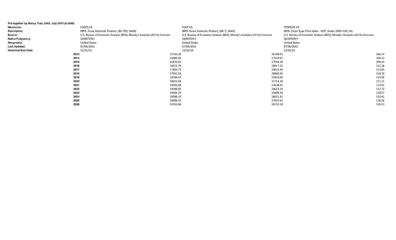| Put together by Nancy Tran, DAO, July 2015 (4-3848) |                                                                           |          |                                                                           |          |                                                                           |        |
|-----------------------------------------------------|---------------------------------------------------------------------------|----------|---------------------------------------------------------------------------|----------|---------------------------------------------------------------------------|--------|
| Mnemonic:                                           | FGDP\$.US                                                                 |          | FGDP.US                                                                   |          | FPDPGDP.US                                                                |        |
| <b>Description:</b>                                 | NIPA: Gross Domestic Product, (Bil. 09\$, SAAR)                           |          | NIPA: Gross Domestic Product, (Bil. \$, SAAR)                             |          | NIPA: Chain-Type Price Index - GDP, (Index 2009=100, SA)                  |        |
| Source:                                             | U.S. Bureau of Economic Analysis (BEA); Moody's Analytics (ECCA) Forecast |          | U.S. Bureau of Economic Analysis (BEA); Moody's Analytics (ECCA) Forecast |          | U.S. Bureau of Economic Analysis (BEA); Moody's Analytics (ECCA) Forecast |        |
| <b>Native Frequency:</b>                            | QUARTERLY                                                                 |          | QUARTERLY                                                                 |          | QUARTERLY                                                                 |        |
| Geography:                                          | <b>United States</b>                                                      |          | <b>United States</b>                                                      |          | <b>United States</b>                                                      |        |
| <b>Last Updated:</b>                                | 07/06/2015                                                                |          | 07/06/2015                                                                |          | 07/06/2015                                                                |        |
| <b>Historical End Date:</b>                         | 12/31/14                                                                  |          | 12/31/14                                                                  |          | 12/31/14                                                                  |        |
| 2013                                                |                                                                           | 15710.28 |                                                                           | 16768.05 |                                                                           | 106.74 |
| 2014                                                |                                                                           | 16085.60 |                                                                           | 17418.92 |                                                                           | 108.32 |
| 2015                                                |                                                                           | 16470.03 |                                                                           | 17944.30 |                                                                           | 109.14 |
| 2016                                                |                                                                           | 16971.79 |                                                                           | 18817.35 |                                                                           | 111.18 |
| 2017                                                |                                                                           | 17459.72 |                                                                           | 19815.49 |                                                                           | 113.83 |
| 2018                                                |                                                                           | 17932.01 |                                                                           | 20860.65 |                                                                           | 116.70 |
| 2019                                                |                                                                           | 18319.67 |                                                                           | 21833.09 |                                                                           | 119.58 |
| 2020                                                |                                                                           | 18651.44 |                                                                           | 22714.39 |                                                                           | 122.21 |
| 2021                                                |                                                                           | 18993.68 |                                                                           | 23638.61 |                                                                           | 124.92 |
| 2022                                                |                                                                           | 19348.85 |                                                                           | 24613.54 |                                                                           | 127.72 |
| 2023                                                |                                                                           | 19699.29 |                                                                           | 25609.36 |                                                                           | 130.57 |
| 2024                                                |                                                                           | 20048.10 |                                                                           | 26621.41 |                                                                           | 133.41 |
| 2025                                                |                                                                           | 20398.25 |                                                                           | 27655.63 |                                                                           | 136.26 |
| 2026                                                |                                                                           | 20763.88 |                                                                           | 28732.20 |                                                                           | 139.13 |